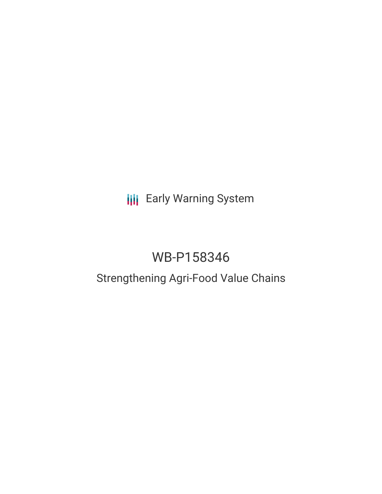**III** Early Warning System

# WB-P158346

# Strengthening Agri-Food Value Chains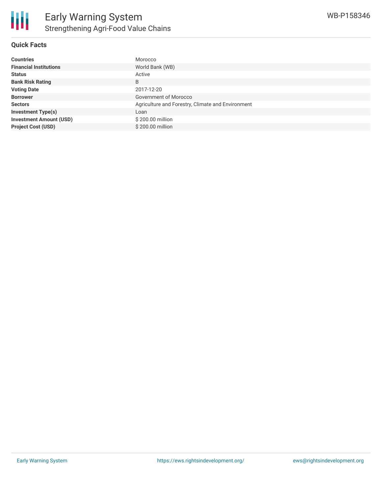

# **Quick Facts**

| <b>Countries</b>               | Morocco                                           |
|--------------------------------|---------------------------------------------------|
| <b>Financial Institutions</b>  | World Bank (WB)                                   |
| <b>Status</b>                  | Active                                            |
| <b>Bank Risk Rating</b>        | B                                                 |
| <b>Voting Date</b>             | 2017-12-20                                        |
| <b>Borrower</b>                | Government of Morocco                             |
| <b>Sectors</b>                 | Agriculture and Forestry, Climate and Environment |
| <b>Investment Type(s)</b>      | Loan                                              |
| <b>Investment Amount (USD)</b> | \$200.00 million                                  |
| <b>Project Cost (USD)</b>      | \$200.00 million                                  |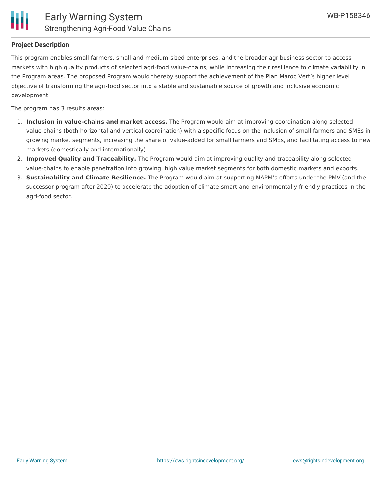

# **Project Description**

This program enables small farmers, small and medium-sized enterprises, and the broader agribusiness sector to access markets with high quality products of selected agri-food value-chains, while increasing their resilience to climate variability in the Program areas. The proposed Program would thereby support the achievement of the Plan Maroc Vert's higher level objective of transforming the agri-food sector into a stable and sustainable source of growth and inclusive economic development.

The program has 3 results areas:

- 1. **Inclusion in value-chains and market access.** The Program would aim at improving coordination along selected value-chains (both horizontal and vertical coordination) with a specific focus on the inclusion of small farmers and SMEs in growing market segments, increasing the share of value-added for small farmers and SMEs, and facilitating access to new markets (domestically and internationally).
- 2. **Improved Quality and Traceability.** The Program would aim at improving quality and traceability along selected value-chains to enable penetration into growing, high value market segments for both domestic markets and exports.
- 3. **Sustainability and Climate Resilience.** The Program would aim at supporting MAPM's efforts under the PMV (and the successor program after 2020) to accelerate the adoption of climate-smart and environmentally friendly practices in the agri-food sector.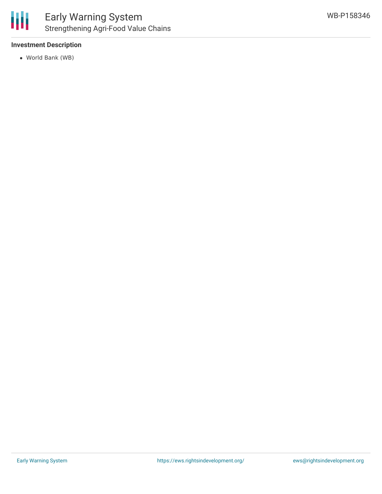

# **Investment Description**

World Bank (WB)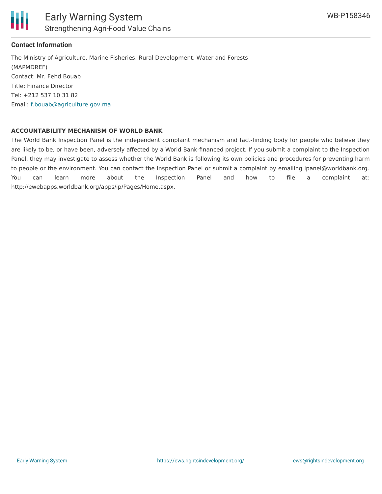

## **Contact Information**

The Ministry of Agriculture, Marine Fisheries, Rural Development, Water and Forests (MAPMDREF) Contact: Mr. Fehd Bouab Title: Finance Director Tel: +212 537 10 31 82 Email: [f.bouab@agriculture.gov.ma](mailto:f.bouab@agriculture.gov.ma)

#### **ACCOUNTABILITY MECHANISM OF WORLD BANK**

The World Bank Inspection Panel is the independent complaint mechanism and fact-finding body for people who believe they are likely to be, or have been, adversely affected by a World Bank-financed project. If you submit a complaint to the Inspection Panel, they may investigate to assess whether the World Bank is following its own policies and procedures for preventing harm to people or the environment. You can contact the Inspection Panel or submit a complaint by emailing ipanel@worldbank.org. You can learn more about the Inspection Panel and how to file a complaint at: http://ewebapps.worldbank.org/apps/ip/Pages/Home.aspx.